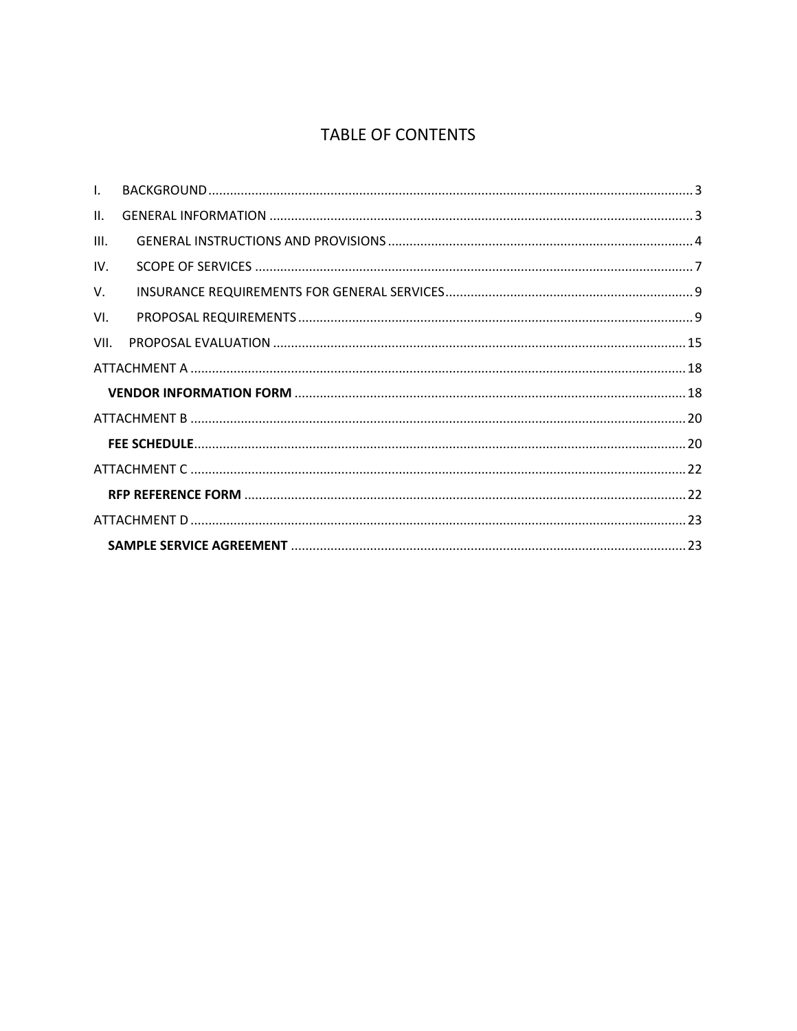## **TABLE OF CONTENTS**

| $\mathbf{L}$ |  |
|--------------|--|
| II.          |  |
| III.         |  |
| IV.          |  |
| V.           |  |
| VI.          |  |
| VII.         |  |
|              |  |
|              |  |
|              |  |
|              |  |
|              |  |
|              |  |
|              |  |
|              |  |